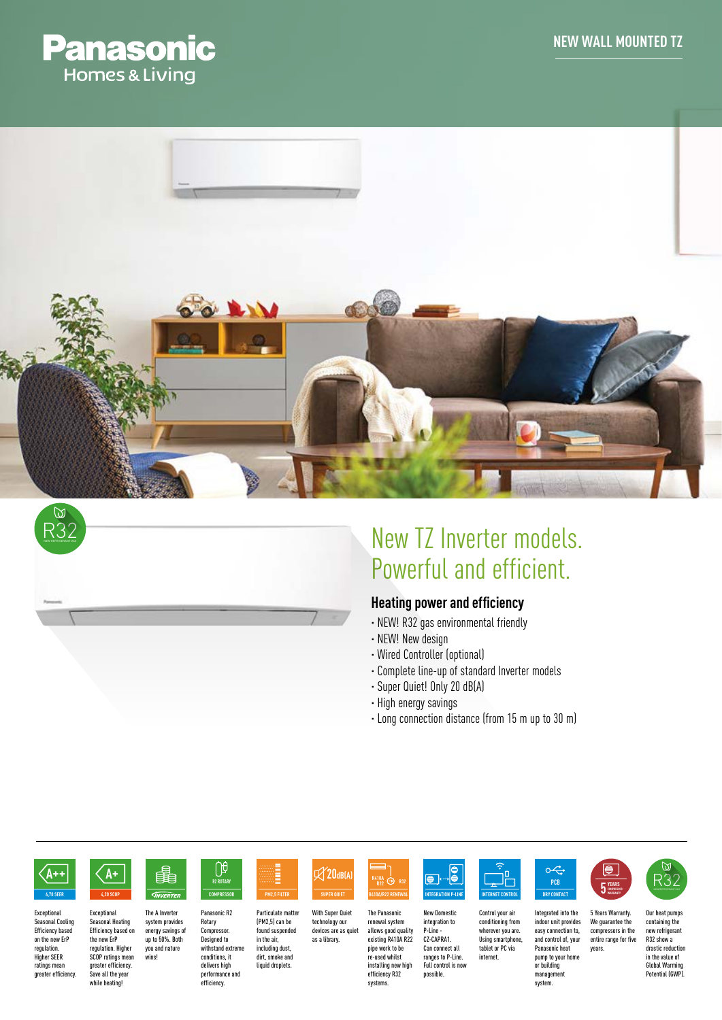





# New TZ Inverter models. Powerful and efficient.

## **Heating power and efficiency**

- · NEW! R32 gas environmental friendly
- · NEW! New design
- · Wired Controller (optional)
- · Complete line-up of standard Inverter models
- · Super Quiet! Only 20 dB(A)
- · High energy savings
- · Long connection distance (from 15 m up to 30 m)



**Exceptional** Seasonal Cooling Efficiency based on the new ErP regulation. Higher SEER ratings mean greater efficiency.



**Exceptional** 

while heating

The A Inverter system provides energy savings of up to 50%. Both you and nature wins! Seasonal Heating Efficiency based on the new ErP regulation. Higher SCOP ratings mean greater efficiency. Save all the year

串

Panasonic R2 Rotary Compressor. **COMPRESSOR R2 ROTARY 4,20 SCOP SUPER QUIET**

U<sub>0</sub>



Particulate matter (PM2,5) can be found suspended in the air, including dust, dirt, smoke and liquid droplets. as a library.



With Super Quiet technology our devices are as quiet The Panasonic renewal system allows good quality existing R410A R22 pipe work to be re-used whilst installing new high efficiency R32

systems.





Control your air conditioning from wherever you are. Using smartphone, tablet or PC via internet.





**5 YEARS COMPRESSOR** 

Our heat pumps containing the

years.

new refrigerant R32 show a drastic reduction in the value of Global Warming Potential (GWP).

R32



Integrated into the indoor unit provides easy connection to, and control of, your Panasonic heat

pump to your home or building management system.